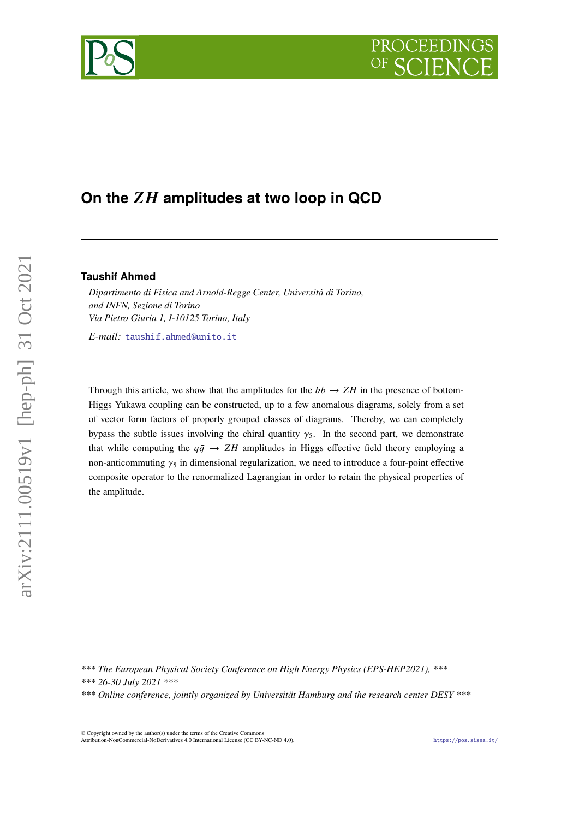# **On the amplitudes at two loop in QCD**

# **Taushif Ahmed**

*Dipartimento di Fisica and Arnold-Regge Center, Università di Torino, and INFN, Sezione di Torino Via Pietro Giuria 1, I-10125 Torino, Italy*

*E-mail:* [taushif.ahmed@unito.it](mailto:taushif.ahmed@unito.it)

Through this article, we show that the amplitudes for the  $b\bar{b} \rightarrow ZH$  in the presence of bottom-Higgs Yukawa coupling can be constructed, up to a few anomalous diagrams, solely from a set of vector form factors of properly grouped classes of diagrams. Thereby, we can completely bypass the subtle issues involving the chiral quantity  $\gamma_5$ . In the second part, we demonstrate that while computing the  $q\bar{q} \rightarrow ZH$  amplitudes in Higgs effective field theory employing a non-anticommuting  $\gamma_5$  in dimensional regularization, we need to introduce a four-point effective composite operator to the renormalized Lagrangian in order to retain the physical properties of the amplitude.

*\*\*\* The European Physical Society Conference on High Energy Physics (EPS-HEP2021), \*\*\* \*\*\* 26-30 July 2021 \*\*\* \*\*\* Online conference, jointly organized by Universität Hamburg and the research center DESY \*\*\**

© Copyright owned by the author(s) under the terms of the Creative Commons Attribution-NonCommercial-NoDerivatives 4.0 International License (CC BY-NC-ND 4.0). <https://pos.sissa.it/>

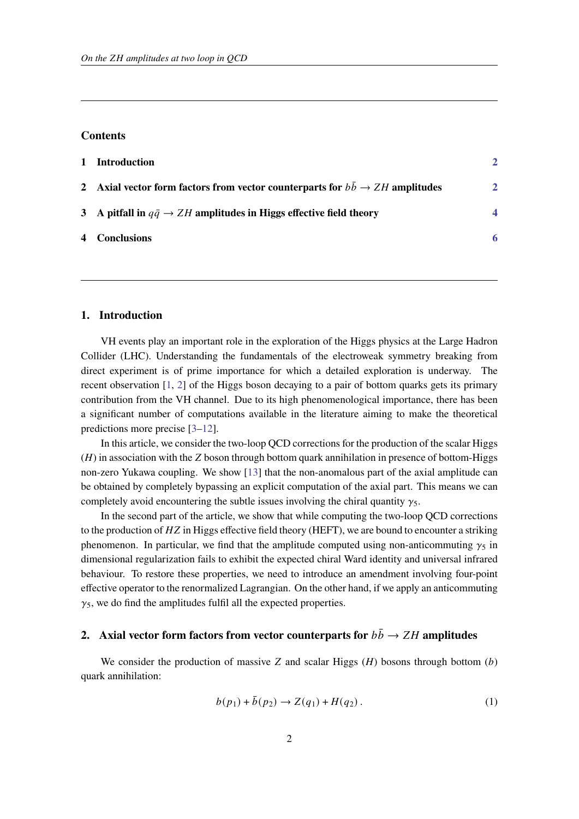### **Contents**

| $\mathbf{1}$ | Introduction                                                                                  |                         |
|--------------|-----------------------------------------------------------------------------------------------|-------------------------|
|              | 2 Axial vector form factors from vector counterparts for $b\bar{b} \rightarrow ZH$ amplitudes | $\mathbf{2}$            |
|              | 3 A pitfall in $q\bar{q} \rightarrow ZH$ amplitudes in Higgs effective field theory           | $\overline{\mathbf{4}}$ |
|              | 4 Conclusions                                                                                 | 6                       |
|              |                                                                                               |                         |

## <span id="page-1-0"></span>**1. Introduction**

VH events play an important role in the exploration of the Higgs physics at the Large Hadron Collider (LHC). Understanding the fundamentals of the electroweak symmetry breaking from direct experiment is of prime importance for which a detailed exploration is underway. The recent observation [\[1,](#page-6-0) [2\]](#page-6-1) of the Higgs boson decaying to a pair of bottom quarks gets its primary contribution from the VH channel. Due to its high phenomenological importance, there has been a significant number of computations available in the literature aiming to make the theoretical predictions more precise [\[3](#page-6-2)[–12\]](#page-6-3).

In this article, we consider the two-loop QCD corrections for the production of the scalar Higgs  $(H)$  in association with the Z boson through bottom quark annihilation in presence of bottom-Higgs non-zero Yukawa coupling. We show [\[13\]](#page-7-0) that the non-anomalous part of the axial amplitude can be obtained by completely bypassing an explicit computation of the axial part. This means we can completely avoid encountering the subtle issues involving the chiral quantity  $\gamma_5$ .

In the second part of the article, we show that while computing the two-loop QCD corrections to the production of  $HZ$  in Higgs effective field theory (HEFT), we are bound to encounter a striking phenomenon. In particular, we find that the amplitude computed using non-anticommuting  $\gamma_5$  in dimensional regularization fails to exhibit the expected chiral Ward identity and universal infrared behaviour. To restore these properties, we need to introduce an amendment involving four-point effective operator to the renormalized Lagrangian. On the other hand, if we apply an anticommuting  $\gamma_5$ , we do find the amplitudes fulfil all the expected properties.

# <span id="page-1-1"></span>**2.** Axial vector form factors from vector counterparts for  $b\bar{b} \rightarrow ZH$  amplitudes

We consider the production of massive Z and scalar Higgs  $(H)$  bosons through bottom  $(b)$ quark annihilation:

$$
b(p_1) + \bar{b}(p_2) \to Z(q_1) + H(q_2).
$$
 (1)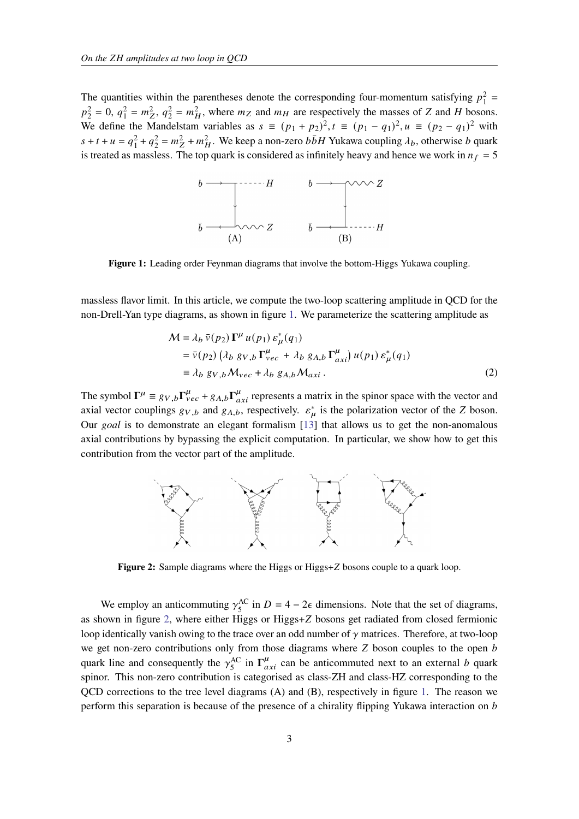<span id="page-2-0"></span>The quantities within the parentheses denote the corresponding four-momentum satisfying  $p_1^2$  =  $p_2^2 = 0$ ,  $q_1^2 = m_Z^2$ ,  $q_2^2 = m_H^2$ , where  $m_Z$  and  $m_H$  are respectively the masses of Z and H bosons. We define the Mandelstam variables as  $s \equiv (p_1 + p_2)^2$ ,  $t \equiv (p_1 - q_1)^2$ ,  $u \equiv (p_2 - q_1)^2$  with  $s + t + u = q_1^2 + q_2^2 = m_Z^2 + m_H^2$ . We keep a non-zero  $b\bar{b}H$  Yukawa coupling  $\lambda_b$ , otherwise b quark is treated as massless. The top quark is considered as infinitely heavy and hence we work in  $n_f = 5$ 



**Figure 1:** Leading order Feynman diagrams that involve the bottom-Higgs Yukawa coupling.

massless flavor limit. In this article, we compute the two-loop scattering amplitude in QCD for the non-Drell-Yan type diagrams, as shown in figure [1.](#page-2-0) We parameterize the scattering amplitude as

$$
\mathcal{M} = \lambda_b \,\overline{v}(p_2) \,\Gamma^{\mu} \, u(p_1) \, \varepsilon_{\mu}^* (q_1)
$$
\n
$$
= \overline{v}(p_2) \left( \lambda_b \, g_{V,b} \, \Gamma_{vec}^{\mu} + \lambda_b \, g_{A,b} \, \Gamma_{axi}^{\mu} \right) u(p_1) \, \varepsilon_{\mu}^* (q_1)
$$
\n
$$
\equiv \lambda_b \, g_{V,b} \mathcal{M}_{vec} + \lambda_b \, g_{A,b} \mathcal{M}_{axi} \,. \tag{2}
$$

The symbol  $\Gamma^{\mu} \equiv g_{V,b}\Gamma^{\mu}_{vec} + g_{A,b}\Gamma^{\mu}_{axi}$  represents a matrix in the spinor space with the vector and axial vector couplings  $g_{V,b}$  and  $g_{A,b}$ , respectively.  $\varepsilon^*_{\mu}$  is the polarization vector of the Z boson. Our *goal* is to demonstrate an elegant formalism [\[13\]](#page-7-0) that allows us to get the non-anomalous axial contributions by bypassing the explicit computation. In particular, we show how to get this contribution from the vector part of the amplitude.

<span id="page-2-1"></span>

**Figure 2:** Sample diagrams where the Higgs or Higgs+Z bosons couple to a quark loop.

We employ an anticommuting  $\gamma_5^{\text{AC}}$  $_{5}^{\text{AC}}$  in  $D = 4 - 2\epsilon$  dimensions. Note that the set of diagrams, as shown in figure [2,](#page-2-1) where either Higgs or Higgs+Z bosons get radiated from closed fermionic loop identically vanish owing to the trace over an odd number of  $\gamma$  matrices. Therefore, at two-loop we get non-zero contributions only from those diagrams where  $Z$  boson couples to the open  $b$ quark line and consequently the  $\gamma_5^{\text{AC}}$  $\int_{5}^{AC}$  in  $\Gamma^{\mu}_{axi}$  can be anticommuted next to an external b quark spinor. This non-zero contribution is categorised as class-ZH and class-HZ corresponding to the QCD corrections to the tree level diagrams (A) and (B), respectively in figure [1.](#page-2-0) The reason we perform this separation is because of the presence of a chirality flipping Yukawa interaction on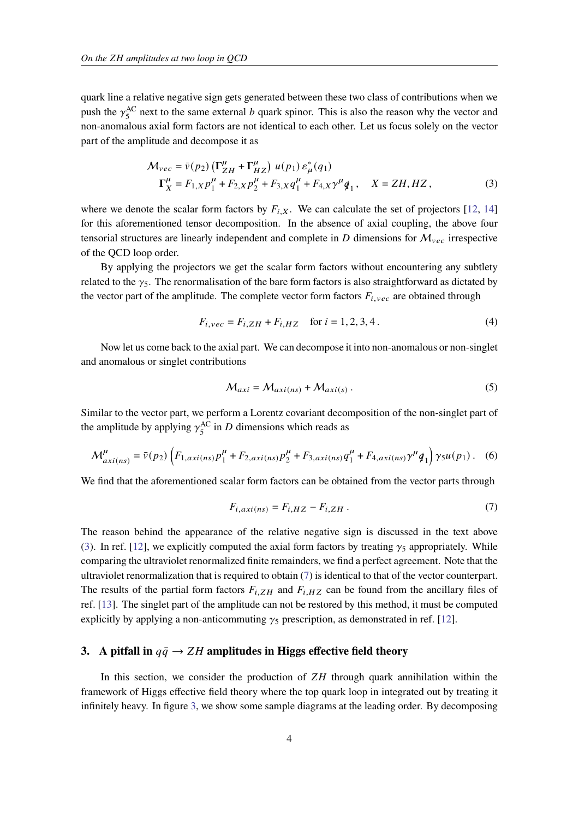quark line a relative negative sign gets generated between these two class of contributions when we push the  $\gamma_5^{\text{AC}}$  $^{AC}_{5}$  next to the same external *b* quark spinor. This is also the reason why the vector and non-anomalous axial form factors are not identical to each other. Let us focus solely on the vector part of the amplitude and decompose it as

$$
\mathcal{M}_{vec} = \bar{v}(p_2) \left( \Gamma_{ZH}^{\mu} + \Gamma_{HZ}^{\mu} \right) u(p_1) \, \varepsilon_{\mu}^*(q_1) \n\Gamma_X^{\mu} = F_{1,X} p_1^{\mu} + F_{2,X} p_2^{\mu} + F_{3,X} q_1^{\mu} + F_{4,X} \gamma^{\mu} q_1, \quad X = ZH, HZ,
$$
\n(3)

where we denote the scalar form factors by  $F_{i,X}$ . We can calculate the set of projectors [\[12,](#page-6-3) [14\]](#page-7-1) for this aforementioned tensor decomposition. In the absence of axial coupling, the above four tensorial structures are linearly independent and complete in  $D$  dimensions for  $M_{vec}$  irrespective of the QCD loop order.

By applying the projectors we get the scalar form factors without encountering any subtlety related to the  $\gamma_5$ . The renormalisation of the bare form factors is also straightforward as dictated by the vector part of the amplitude. The complete vector form factors  $F_{i,vec}$  are obtained through

<span id="page-3-1"></span>
$$
F_{i,vec} = F_{i,ZH} + F_{i,HZ} \quad \text{for } i = 1, 2, 3, 4 \,. \tag{4}
$$

Now let us come back to the axial part. We can decompose it into non-anomalous or non-singlet and anomalous or singlet contributions

$$
\mathcal{M}_{axi} = \mathcal{M}_{axi(ns)} + \mathcal{M}_{axi(s)}\,. \tag{5}
$$

Similar to the vector part, we perform a Lorentz covariant decomposition of the non-singlet part of the amplitude by applying  $\gamma_5^{\text{AC}}$  $^{AC}_{5}$  in *D* dimensions which reads as

$$
\mathcal{M}^{\mu}_{axi(ns)} = \bar{\nu}(p_2) \left( F_{1,axi(ns)} p_1^{\mu} + F_{2,axi(ns)} p_2^{\mu} + F_{3,axi(ns)} q_1^{\mu} + F_{4,axi(ns)} \gamma^{\mu} \dot{q}_1 \right) \gamma_5 u(p_1) \,. \tag{6}
$$

We find that the aforementioned scalar form factors can be obtained from the vector parts through

<span id="page-3-2"></span>
$$
F_{i,axi(ns)} = F_{i,HZ} - F_{i,ZH} \tag{7}
$$

The reason behind the appearance of the relative negative sign is discussed in the text above [\(3\)](#page-3-1). In ref. [\[12\]](#page-6-3), we explicitly computed the axial form factors by treating  $\gamma_5$  appropriately. While comparing the ultraviolet renormalized finite remainders, we find a perfect agreement. Note that the ultraviolet renormalization that is required to obtain [\(7\)](#page-3-2) is identical to that of the vector counterpart. The results of the partial form factors  $F_{i,ZH}$  and  $F_{i,HZ}$  can be found from the ancillary files of ref. [\[13\]](#page-7-0). The singlet part of the amplitude can not be restored by this method, it must be computed explicitly by applying a non-anticommuting  $\gamma_5$  prescription, as demonstrated in ref. [\[12\]](#page-6-3).

## <span id="page-3-0"></span>**3.** A pitfall in  $q\bar{q} \rightarrow ZH$  amplitudes in Higgs effective field theory

In this section, we consider the production of  $ZH$  through quark annihilation within the framework of Higgs effective field theory where the top quark loop in integrated out by treating it infinitely heavy. In figure [3,](#page-4-0) we show some sample diagrams at the leading order. By decomposing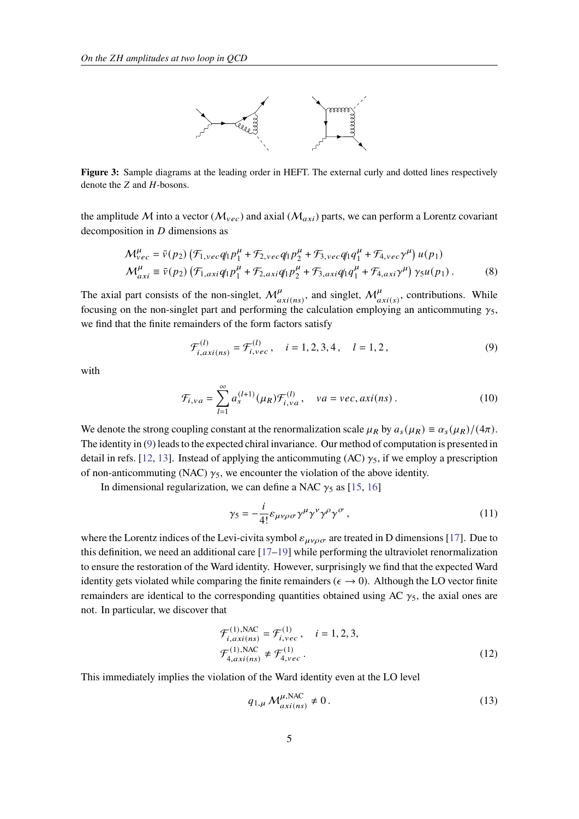

<span id="page-4-0"></span>**Figure 3:** Sample diagrams at the leading order in HEFT. The external curly and dotted lines respectively denote the  $Z$  and  $H$ -bosons.

the amplitude M into a vector ( $M_{vec}$ ) and axial ( $M_{axi}$ ) parts, we can perform a Lorentz covariant decomposition in  $D$  dimensions as

$$
\mathcal{M}_{vec}^{\mu} = \bar{\nu}(p_2) \left( \mathcal{F}_{1,vec} q_1 p_1^{\mu} + \mathcal{F}_{2,vec} q_1 p_2^{\mu} + \mathcal{F}_{3,vec} q_1 q_1^{\mu} + \mathcal{F}_{4,vec} \gamma^{\mu} \right) u(p_1)
$$
  
\n
$$
\mathcal{M}_{axi}^{\mu} \equiv \bar{\nu}(p_2) \left( \mathcal{F}_{1,axi} q_1 p_1^{\mu} + \mathcal{F}_{2,axi} q_1 p_2^{\mu} + \mathcal{F}_{3,axi} q_1 q_1^{\mu} + \mathcal{F}_{4,axi} \gamma^{\mu} \right) \gamma_5 u(p_1).
$$
 (8)

The axial part consists of the non-singlet,  $\mathcal{M}^{\mu}_{axi(ns)}$ , and singlet,  $\mathcal{M}^{\mu}_{axi(s)}$ , contributions. While focusing on the non-singlet part and performing the calculation employing an anticommuting  $\gamma_5$ , we find that the finite remainders of the form factors satisfy

<span id="page-4-1"></span>
$$
\mathcal{F}_{i,axi(ns)}^{(l)} = \mathcal{F}_{i,vec}^{(l)}, \quad i = 1, 2, 3, 4, \quad l = 1, 2,
$$
\n(9)

with

$$
\mathcal{F}_{i,va} = \sum_{l=1}^{\infty} a_s^{(l+1)}(\mu_R) \mathcal{F}_{i,va}^{(l)}, \quad va = vec, axi(ns).
$$
 (10)

We denote the strong coupling constant at the renormalization scale  $\mu_R$  by  $a_s(\mu_R) \equiv \alpha_s(\mu_R)/(4\pi)$ . The identity in [\(9\)](#page-4-1) leads to the expected chiral invariance. Our method of computation is presented in detail in refs. [\[12,](#page-6-3) [13\]](#page-7-0). Instead of applying the anticommuting (AC)  $\gamma_5$ , if we employ a prescription of non-anticommuting (NAC)  $\gamma_5$ , we encounter the violation of the above identity.

In dimensional regularization, we can define a NAC  $\gamma_5$  as [\[15,](#page-7-2) [16\]](#page-7-3)

$$
\gamma_5 = -\frac{i}{4!} \varepsilon_{\mu\nu\rho\sigma} \gamma^{\mu} \gamma^{\nu} \gamma^{\rho} \gamma^{\sigma} , \qquad (11)
$$

where the Lorentz indices of the Levi-civita symbol  $\varepsilon_{\mu\nu\rho\sigma}$  are treated in D dimensions [\[17\]](#page-7-4). Due to this definition, we need an additional care  $[17-19]$  $[17-19]$  while performing the ultraviolet renormalization to ensure the restoration of the Ward identity. However, surprisingly we find that the expected Ward identity gets violated while comparing the finite remainders ( $\epsilon \to 0$ ). Although the LO vector finite remainders are identical to the corresponding quantities obtained using AC  $\gamma_5$ , the axial ones are not. In particular, we discover that

$$
\mathcal{F}_{i,axi(ns)}^{(1),\text{NAC}} = \mathcal{F}_{i,vec}^{(1)}, \quad i = 1, 2, 3,
$$
\n
$$
\mathcal{F}_{4,axi(ns)}^{(1),\text{NAC}} \neq \mathcal{F}_{4,vec}^{(1)}.
$$
\n(12)

This immediately implies the violation of the Ward identity even at the LO level

$$
q_{1,\mu} M_{axi(ns)}^{\mu,\text{NAC}} \neq 0. \tag{13}
$$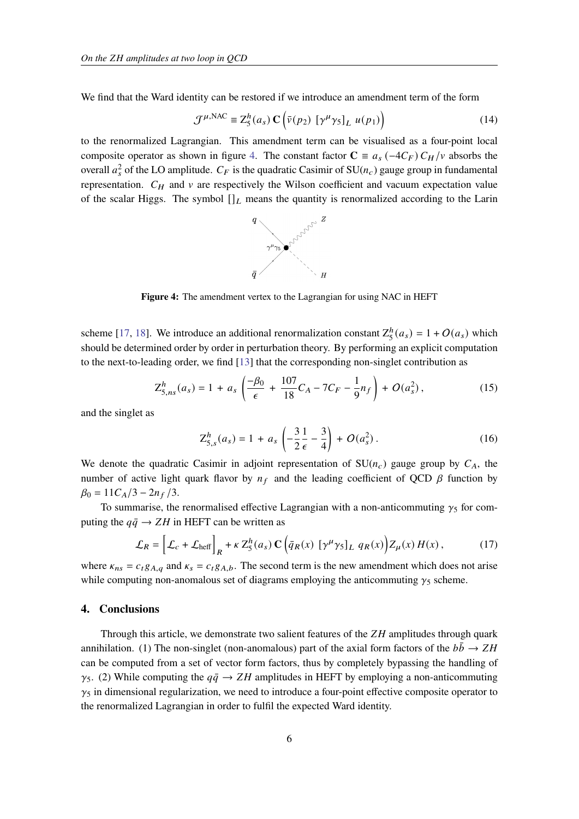We find that the Ward identity can be restored if we introduce an amendment term of the form

$$
\mathcal{J}^{\mu,\text{NAC}} \equiv Z_5^h(a_s) \mathbf{C} \left( \bar{\nu}(p_2) \left[ \gamma^\mu \gamma_5 \right]_L u(p_1) \right) \tag{14}
$$

<span id="page-5-1"></span>to the renormalized Lagrangian. This amendment term can be visualised as a four-point local composite operator as shown in figure [4.](#page-5-1) The constant factor  $\mathbf{C} \equiv a_s (-4C_F) C_H/v$  absorbs the overall  $a_s^2$  of the LO amplitude.  $C_F$  is the quadratic Casimir of SU( $n_c$ ) gauge group in fundamental representation.  $C_H$  and  $\nu$  are respectively the Wilson coefficient and vacuum expectation value of the scalar Higgs. The symbol  $[]_L$  means the quantity is renormalized according to the Larin



**Figure 4:** The amendment vertex to the Lagrangian for using NAC in HEFT

scheme [\[17,](#page-7-4) [18\]](#page-7-6). We introduce an additional renormalization constant  $Z_5^h$  $_{5}^{h}(a_{s}) = 1 + O(a_{s})$  which should be determined order by order in perturbation theory. By performing an explicit computation to the next-to-leading order, we find [\[13\]](#page-7-0) that the corresponding non-singlet contribution as

$$
Z_{5,ns}^{h}(a_s) = 1 + a_s \left( \frac{-\beta_0}{\epsilon} + \frac{107}{18} C_A - 7C_F - \frac{1}{9} n_f \right) + O(a_s^2), \qquad (15)
$$

and the singlet as

$$
Z_{5,s}^{h}(a_s) = 1 + a_s \left( -\frac{3}{2} \frac{1}{\epsilon} - \frac{3}{4} \right) + O(a_s^2) \,. \tag{16}
$$

We denote the quadratic Casimir in adjoint representation of  $SU(n_c)$  gauge group by  $C_A$ , the number of active light quark flavor by  $n_f$  and the leading coefficient of QCD  $\beta$  function by  $\beta_0 = 11C_A/3 - 2n_f/3.$ 

To summarise, the renormalised effective Lagrangian with a non-anticommuting  $\gamma_5$  for computing the  $q\bar{q} \rightarrow ZH$  in HEFT can be written as

$$
\mathcal{L}_R = \left[ \mathcal{L}_c + \mathcal{L}_{\text{heff}} \right]_R + \kappa Z_5^h(a_s) \mathbf{C} \left( \bar{q}_R(x) \left[ \gamma^\mu \gamma_5 \right]_L q_R(x) \right) Z_\mu(x) H(x) \,, \tag{17}
$$

where  $\kappa_{ns} = c_t g_{A,q}$  and  $\kappa_s = c_t g_{A,b}$ . The second term is the new amendment which does not arise while computing non-anomalous set of diagrams employing the anticommuting  $\gamma_5$  scheme.

### <span id="page-5-0"></span>**4. Conclusions**

Through this article, we demonstrate two salient features of the  $ZH$  amplitudes through quark annihilation. (1) The non-singlet (non-anomalous) part of the axial form factors of the  $b\bar{b} \rightarrow ZH$ can be computed from a set of vector form factors, thus by completely bypassing the handling of  $\gamma_5$ . (2) While computing the  $q\bar{q} \rightarrow ZH$  amplitudes in HEFT by employing a non-anticommuting  $\gamma_5$  in dimensional regularization, we need to introduce a four-point effective composite operator to the renormalized Lagrangian in order to fulfil the expected Ward identity.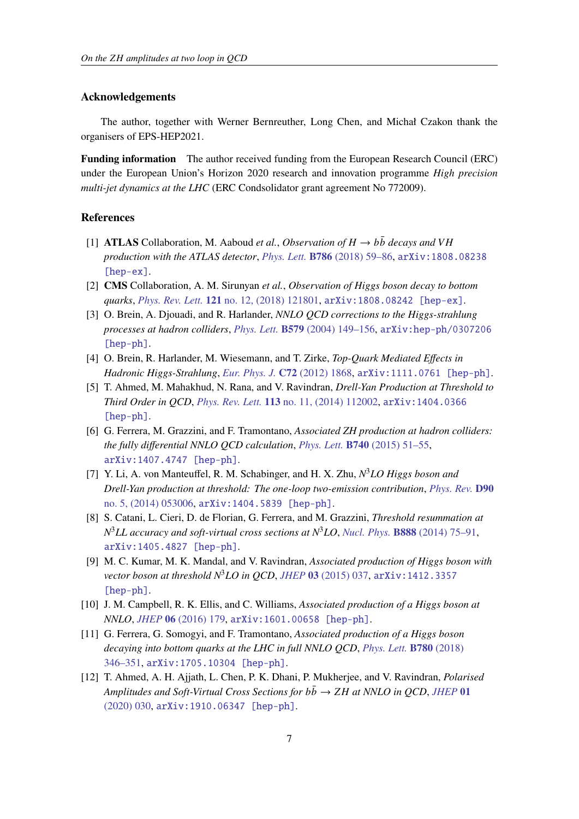### **Acknowledgements**

The author, together with Werner Bernreuther, Long Chen, and Michał Czakon thank the organisers of EPS-HEP2021.

**Funding information** The author received funding from the European Research Council (ERC) under the European Union's Horizon 2020 research and innovation programme *High precision multi-jet dynamics at the LHC* (ERC Condsolidator grant agreement No 772009).

#### **References**

- <span id="page-6-0"></span>[1] **ATLAS** Collaboration, M. Aaboud *et al., Observation of*  $H \rightarrow b\bar{b}$  *decays and VH production with the ATLAS detector*, *Phys. Lett.* **B786** [\(2018\) 59–86,](http://dx.doi.org/10.1016/j.physletb.2018.09.013) [arXiv:1808.08238](http://arxiv.org/abs/1808.08238) [\[hep-ex\]](http://arxiv.org/abs/1808.08238).
- <span id="page-6-1"></span>[2] **CMS** Collaboration, A. M. Sirunyan *et al.*, *Observation of Higgs boson decay to bottom quarks*, *Phys. Rev. Lett.* **121** [no. 12, \(2018\) 121801,](http://dx.doi.org/10.1103/PhysRevLett.121.121801) [arXiv:1808.08242 \[hep-ex\]](http://arxiv.org/abs/1808.08242).
- <span id="page-6-2"></span>[3] O. Brein, A. Djouadi, and R. Harlander, *NNLO QCD corrections to the Higgs-strahlung processes at hadron colliders*, *Phys. Lett.* **B579** [\(2004\) 149–156,](http://dx.doi.org/10.1016/j.physletb.2003.10.112) [arXiv:hep-ph/0307206](http://arxiv.org/abs/hep-ph/0307206) [\[hep-ph\]](http://arxiv.org/abs/hep-ph/0307206).
- [4] O. Brein, R. Harlander, M. Wiesemann, and T. Zirke, *Top-Quark Mediated Effects in Hadronic Higgs-Strahlung*, *[Eur. Phys. J.](http://dx.doi.org/10.1140/epjc/s10052-012-1868-6)* **C72** (2012) 1868, [arXiv:1111.0761 \[hep-ph\]](http://arxiv.org/abs/1111.0761).
- [5] T. Ahmed, M. Mahakhud, N. Rana, and V. Ravindran, *Drell-Yan Production at Threshold to Third Order in QCD*, *Phys. Rev. Lett.* **113** [no. 11, \(2014\) 112002,](http://dx.doi.org/10.1103/PhysRevLett.113.112002) [arXiv:1404.0366](http://arxiv.org/abs/1404.0366) [\[hep-ph\]](http://arxiv.org/abs/1404.0366).
- [6] G. Ferrera, M. Grazzini, and F. Tramontano, *Associated ZH production at hadron colliders: the fully differential NNLO QCD calculation*, *Phys. Lett.* **B740** [\(2015\) 51–55,](http://dx.doi.org/10.1016/j.physletb.2014.11.040) [arXiv:1407.4747 \[hep-ph\]](http://arxiv.org/abs/1407.4747).
- [7] Y. Li, A. von Manteuffel, R. M. Schabinger, and H. X. Zhu, *N* <sup>3</sup>*LO Higgs boson and Drell-Yan production at threshold: The one-loop two-emission contribution*, *[Phys. Rev.](http://dx.doi.org/10.1103/PhysRevD.90.053006)* **D90** [no. 5, \(2014\) 053006,](http://dx.doi.org/10.1103/PhysRevD.90.053006) [arXiv:1404.5839 \[hep-ph\]](http://arxiv.org/abs/1404.5839).
- [8] S. Catani, L. Cieri, D. de Florian, G. Ferrera, and M. Grazzini, *Threshold resummation at N* <sup>3</sup>*LL accuracy and soft-virtual cross sections at N*3*LO*, *Nucl. Phys.* **B888** [\(2014\) 75–91,](http://dx.doi.org/10.1016/j.nuclphysb.2014.09.012) [arXiv:1405.4827 \[hep-ph\]](http://arxiv.org/abs/1405.4827).
- [9] M. C. Kumar, M. K. Mandal, and V. Ravindran, *Associated production of Higgs boson with vector boson at threshold N*3*LO in QCD*, *JHEP* **03** [\(2015\) 037,](http://dx.doi.org/10.1007/JHEP03(2015)037) [arXiv:1412.3357](http://arxiv.org/abs/1412.3357) [\[hep-ph\]](http://arxiv.org/abs/1412.3357).
- [10] J. M. Campbell, R. K. Ellis, and C. Williams, *Associated production of a Higgs boson at NNLO*, *JHEP* **06** [\(2016\) 179,](http://dx.doi.org/10.1007/JHEP06(2016)179) [arXiv:1601.00658 \[hep-ph\]](http://arxiv.org/abs/1601.00658).
- [11] G. Ferrera, G. Somogyi, and F. Tramontano, *Associated production of a Higgs boson decaying into bottom quarks at the LHC in full NNLO QCD*, *[Phys. Lett.](http://dx.doi.org/10.1016/j.physletb.2018.03.021)* **B780** (2018) [346–351,](http://dx.doi.org/10.1016/j.physletb.2018.03.021) [arXiv:1705.10304 \[hep-ph\]](http://arxiv.org/abs/1705.10304).
- <span id="page-6-3"></span>[12] T. Ahmed, A. H. Ajjath, L. Chen, P. K. Dhani, P. Mukherjee, and V. Ravindran, *Polarised Amplitudes and Soft-Virtual Cross Sections for*  $b\bar{b} \rightarrow ZH$  *at NNLO in OCD, [JHEP](http://dx.doi.org/10.1007/JHEP01(2020)030)* 01 [\(2020\) 030,](http://dx.doi.org/10.1007/JHEP01(2020)030) [arXiv:1910.06347 \[hep-ph\]](http://arxiv.org/abs/1910.06347).